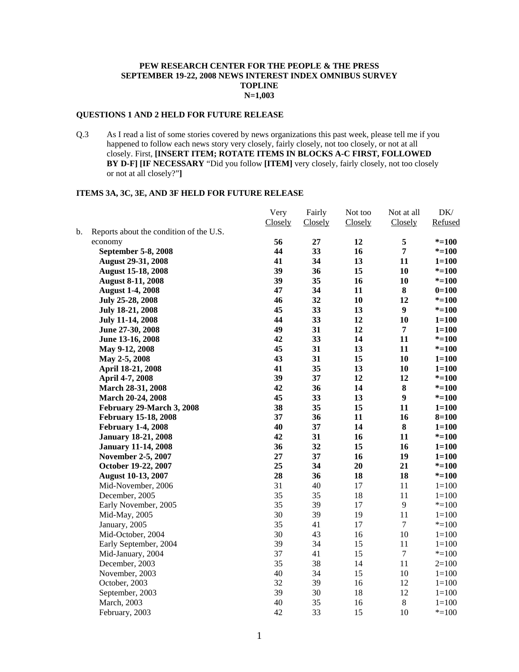## **PEW RESEARCH CENTER FOR THE PEOPLE & THE PRESS SEPTEMBER 19-22, 2008 NEWS INTEREST INDEX OMNIBUS SURVEY TOPLINE N=1,003**

### **QUESTIONS 1 AND 2 HELD FOR FUTURE RELEASE**

Q.3 As I read a list of some stories covered by news organizations this past week, please tell me if you happened to follow each news story very closely, fairly closely, not too closely, or not at all closely. First, **[INSERT ITEM; ROTATE ITEMS IN BLOCKS A-C FIRST, FOLLOWED BY D-F] [IF NECESSARY** "Did you follow **[ITEM]** very closely, fairly closely, not too closely or not at all closely?"**]** 

## **ITEMS 3A, 3C, 3E, AND 3F HELD FOR FUTURE RELEASE**

|    |                                         | Very    | Fairly  | Not too | Not at all       | $\rm DK/$ |
|----|-----------------------------------------|---------|---------|---------|------------------|-----------|
|    |                                         | Closely | Closely | Closely | Closely          | Refused   |
| b. | Reports about the condition of the U.S. |         |         |         |                  |           |
|    | economy                                 | 56      | 27      | 12      | 5                | $* = 100$ |
|    | September 5-8, 2008                     | 44      | 33      | 16      | $\overline{7}$   | $* = 100$ |
|    | <b>August 29-31, 2008</b>               | 41      | 34      | 13      | 11               | $1 = 100$ |
|    | <b>August 15-18, 2008</b>               | 39      | 36      | 15      | 10               | $* = 100$ |
|    | <b>August 8-11, 2008</b>                | 39      | 35      | 16      | 10               | $* = 100$ |
|    | <b>August 1-4, 2008</b>                 | 47      | 34      | 11      | 8                | $0=100$   |
|    | July 25-28, 2008                        | 46      | 32      | 10      | 12               | $* = 100$ |
|    | July 18-21, 2008                        | 45      | 33      | 13      | $\boldsymbol{9}$ | $* = 100$ |
|    | July 11-14, 2008                        | 44      | 33      | 12      | 10               | $1 = 100$ |
|    | June 27-30, 2008                        | 49      | 31      | 12      | 7                | $1 = 100$ |
|    | June 13-16, 2008                        | 42      | 33      | 14      | 11               | $* = 100$ |
|    | May 9-12, 2008                          | 45      | 31      | 13      | 11               | $* = 100$ |
|    | May 2-5, 2008                           | 43      | 31      | 15      | 10               | $1 = 100$ |
|    | April 18-21, 2008                       | 41      | 35      | 13      | 10               | $1 = 100$ |
|    | April 4-7, 2008                         | 39      | 37      | 12      | 12               | $* = 100$ |
|    | March 28-31, 2008                       | 42      | 36      | 14      | $\bf 8$          | $* = 100$ |
|    | March 20-24, 2008                       | 45      | 33      | 13      | $\boldsymbol{9}$ | $* = 100$ |
|    | February 29-March 3, 2008               | 38      | 35      | 15      | 11               | $1 = 100$ |
|    | <b>February 15-18, 2008</b>             | 37      | 36      | 11      | 16               | $8 = 100$ |
|    | <b>February 1-4, 2008</b>               | 40      | 37      | 14      | $\bf{8}$         | $1 = 100$ |
|    | <b>January 18-21, 2008</b>              | 42      | 31      | 16      | 11               | $* = 100$ |
|    | <b>January 11-14, 2008</b>              | 36      | 32      | 15      | 16               | $1 = 100$ |
|    | <b>November 2-5, 2007</b>               | 27      | 37      | 16      | 19               | $1 = 100$ |
|    | October 19-22, 2007                     | 25      | 34      | 20      | 21               | $* = 100$ |
|    | <b>August 10-13, 2007</b>               | 28      | 36      | 18      | 18               | $* = 100$ |
|    | Mid-November, 2006                      | 31      | 40      | 17      | 11               | $1 = 100$ |
|    | December, 2005                          | 35      | 35      | 18      | 11               | $1 = 100$ |
|    | Early November, 2005                    | 35      | 39      | 17      | 9                | $* = 100$ |
|    | Mid-May, 2005                           | 30      | 39      | 19      | 11               | $1 = 100$ |
|    | January, 2005                           | 35      | 41      | 17      | $\tau$           | $* = 100$ |
|    | Mid-October, 2004                       | 30      | 43      | 16      | 10               | $1 = 100$ |
|    | Early September, 2004                   | 39      | 34      | 15      | 11               | $1 = 100$ |
|    | Mid-January, 2004                       | 37      | 41      | 15      | $\tau$           | $* = 100$ |
|    | December, 2003                          | 35      | 38      | 14      | 11               | $2=100$   |
|    | November, 2003                          | 40      | 34      | 15      | 10               | $1 = 100$ |
|    | October, 2003                           | 32      | 39      | 16      | 12               | $1 = 100$ |
|    | September, 2003                         | 39      | 30      | 18      | 12               | $1 = 100$ |
|    | March, 2003                             | 40      | 35      | 16      | $8\,$            | $1 = 100$ |
|    | February, 2003                          | 42      | 33      | 15      | 10               | $* = 100$ |
|    |                                         |         |         |         |                  |           |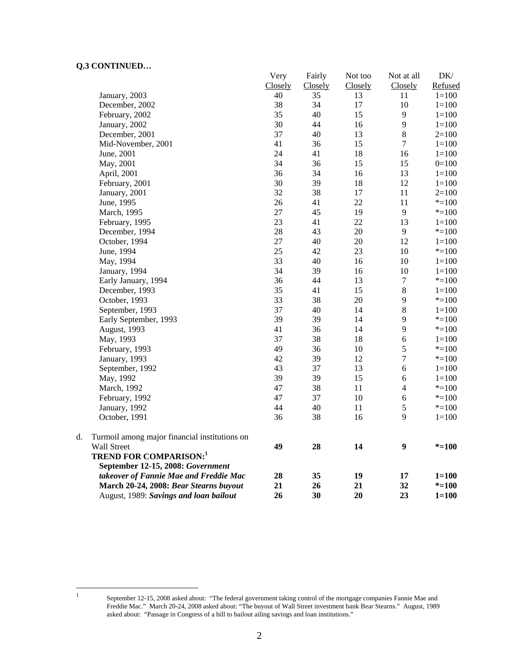# **Q.3 CONTINUED…**

|    | "''"                                          | Very    | Fairly  | Not too | Not at all       | $DK/$     |
|----|-----------------------------------------------|---------|---------|---------|------------------|-----------|
|    |                                               | Closely | Closely | Closely | Closely          | Refused   |
|    | January, 2003                                 | 40      | 35      | 13      | 11               | $1 = 100$ |
|    | December, 2002                                | 38      | 34      | 17      | 10               | $1 = 100$ |
|    | February, 2002                                | 35      | 40      | 15      | 9                | $1 = 100$ |
|    | January, 2002                                 | 30      | 44      | 16      | 9                | $1 = 100$ |
|    | December, 2001                                | 37      | 40      | 13      | $\,8\,$          | $2=100$   |
|    | Mid-November, 2001                            | 41      | 36      | 15      | $\overline{7}$   | $1 = 100$ |
|    | June, 2001                                    | 24      | 41      | 18      | 16               | $1 = 100$ |
|    | May, 2001                                     | 34      | 36      | 15      | 15               | $0=100$   |
|    | April, 2001                                   | 36      | 34      | 16      | 13               | $1 = 100$ |
|    | February, 2001                                | 30      | 39      | 18      | 12               | $1 = 100$ |
|    | January, 2001                                 | 32      | 38      | 17      | 11               | $2 = 100$ |
|    | June, 1995                                    | 26      | 41      | 22      | 11               | $* = 100$ |
|    | March, 1995                                   | 27      | 45      | 19      | $\overline{9}$   | $* = 100$ |
|    | February, 1995                                | 23      | 41      | 22      | 13               | $1 = 100$ |
|    | December, 1994                                | 28      | 43      | 20      | $\overline{9}$   | $* = 100$ |
|    | October, 1994                                 | 27      | 40      | $20\,$  | 12               | $1 = 100$ |
|    | June, 1994                                    | 25      | 42      | 23      | 10               | $* = 100$ |
|    | May, 1994                                     | 33      | 40      | 16      | 10               | $1 = 100$ |
|    | January, 1994                                 | 34      | 39      | 16      | 10               | $1 = 100$ |
|    | Early January, 1994                           | 36      | 44      | 13      | $\boldsymbol{7}$ | $* = 100$ |
|    | December, 1993                                | 35      | 41      | 15      | $\bf 8$          | $1 = 100$ |
|    | October, 1993                                 | 33      | 38      | $20\,$  | $\mathbf{9}$     | $* = 100$ |
|    | September, 1993                               | 37      | 40      | 14      | $\bf 8$          | $1 = 100$ |
|    | Early September, 1993                         | 39      | 39      | 14      | 9                | $* = 100$ |
|    | August, 1993                                  | 41      | 36      | 14      | 9                | $*=100$   |
|    | May, 1993                                     | 37      | 38      | 18      | 6                | $1 = 100$ |
|    | February, 1993                                | 49      | 36      | 10      | 5                | $*=100$   |
|    | January, 1993                                 | 42      | 39      | 12      | $\tau$           | $* = 100$ |
|    | September, 1992                               | 43      | 37      | 13      | $\sqrt{6}$       | $1 = 100$ |
|    | May, 1992                                     | 39      | 39      | 15      | 6                | $1 = 100$ |
|    | March, 1992                                   | 47      | 38      | 11      | $\overline{4}$   | $* = 100$ |
|    | February, 1992                                | 47      | 37      | 10      | 6                | $* = 100$ |
|    | January, 1992                                 | 44      | 40      | 11      | $\mathfrak s$    | $* = 100$ |
|    | October, 1991                                 | 36      | 38      | 16      | 9                | $1 = 100$ |
| d. | Turmoil among major financial institutions on |         |         |         |                  |           |
|    | Wall Street                                   | 49      | 28      | 14      | $\boldsymbol{9}$ | $* = 100$ |
|    | <b>TREND FOR COMPARISON:1</b>                 |         |         |         |                  |           |
|    | September 12-15, 2008: Government             |         |         |         |                  |           |
|    | takeover of Fannie Mae and Freddie Mac        | 28      | 35      | 19      | 17               | $1 = 100$ |
|    | March 20-24, 2008: Bear Stearns buyout        | 21      | 26      | 21      | 32               | $* = 100$ |
|    | August, 1989: Savings and loan bailout        | 26      | 30      | 20      | 23               | $1 = 100$ |

 $\frac{1}{1}$ 

September 12-15, 2008 asked about: "The federal government taking control of the mortgage companies Fannie Mae and Freddie Mac." March 20-24, 2008 asked about: "The buyout of Wall Street investment bank Bear Stearns." August, 1989 asked about: "Passage in Congress of a bill to bailout ailing savings and loan institutions."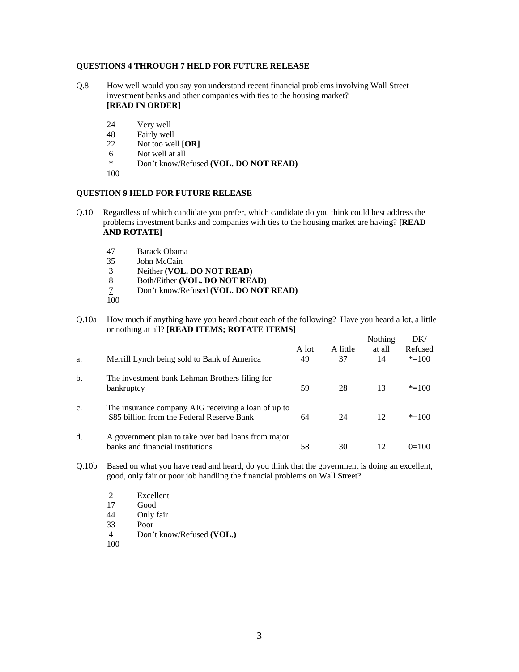### **QUESTIONS 4 THROUGH 7 HELD FOR FUTURE RELEASE**

- Q.8 How well would you say you understand recent financial problems involving Wall Street investment banks and other companies with ties to the housing market? **[READ IN ORDER]** 
	- 24 Very well
	- 48 Fairly well
	- 22 Not too well **[OR]**
	- 6 Not well at all
	- \* Don't know/Refused **(VOL. DO NOT READ)**
	- 100

#### **QUESTION 9 HELD FOR FUTURE RELEASE**

- Q.10 Regardless of which candidate you prefer, which candidate do you think could best address the problems investment banks and companies with ties to the housing market are having? **[READ AND ROTATE]**
	- 47 Barack Obama
	- John McCain
	- 3 Neither **(VOL. DO NOT READ)**
	- 8 Both/Either **(VOL. DO NOT READ)**
	- 7 Don't know/Refused **(VOL. DO NOT READ)**
	- 100

Q.10a How much if anything have you heard about each of the following? Have you heard a lot, a little or nothing at all? **[READ ITEMS; ROTATE ITEMS]** 

| a. | Merrill Lynch being sold to Bank of America                                                       | A lot<br>49 | A little<br>37 | Nothing<br>at all<br>14 | DK/<br>Refused<br>$* = 100$ |
|----|---------------------------------------------------------------------------------------------------|-------------|----------------|-------------------------|-----------------------------|
| b. | The investment bank Lehman Brothers filing for<br>bankruptcy                                      | 59          | 28             | 13                      | $* = 100$                   |
| c. | The insurance company AIG receiving a loan of up to<br>\$85 billion from the Federal Reserve Bank | 64          | 24             | 12                      | $* = 100$                   |
| d. | A government plan to take over bad loans from major<br>banks and financial institutions           | 58          | 30             | 12                      | $0=100$                     |

- Q.10b Based on what you have read and heard, do you think that the government is doing an excellent, good, only fair or poor job handling the financial problems on Wall Street?
	- 2 Excellent<br>17 Good
	- Good
	- 44 Only fair
	- 33 Poor
	- 4 Don't know/Refused **(VOL.)**
	- 100